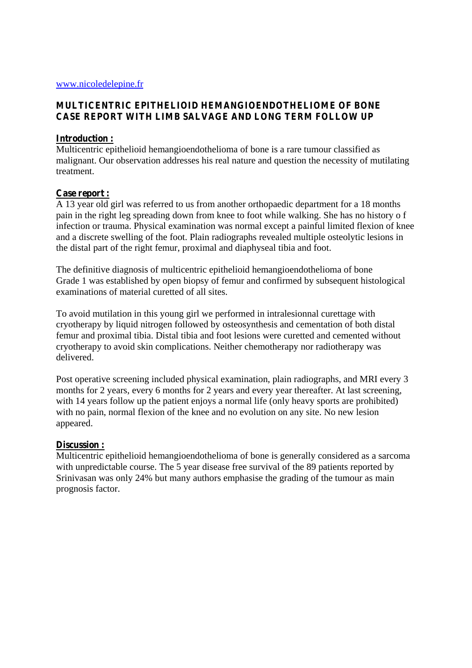### **MULTICENTRIC EPITHELIOID HEMANGIOENDOTHELIOME OF BONE CASE REPORT WITH LIMB SALVAGE AND LONG TERM FOLLOW UP**

#### **Introduction :**

Multicentric epithelioid hemangioendothelioma of bone is a rare tumour classified as malignant. Our observation addresses his real nature and question the necessity of mutilating treatment.

# **Case report :**

A 13 year old girl was referred to us from another orthopaedic department for a 18 months pain in the right leg spreading down from knee to foot while walking. She has no history o f infection or trauma. Physical examination was normal except a painful limited flexion of knee and a discrete swelling of the foot. Plain radiographs revealed multiple osteolytic lesions in the distal part of the right femur, proximal and diaphyseal tibia and foot.

The definitive diagnosis of multicentric epithelioid hemangioendothelioma of bone Grade 1 was established by open biopsy of femur and confirmed by subsequent histological examinations of material curetted of all sites.

To avoid mutilation in this young girl we performed in intralesionnal curettage with cryotherapy by liquid nitrogen followed by osteosynthesis and cementation of both distal femur and proximal tibia. Distal tibia and foot lesions were curetted and cemented without cryotherapy to avoid skin complications. Neither chemotherapy nor radiotherapy was delivered.

Post operative screening included physical examination, plain radiographs, and MRI every 3 months for 2 years, every 6 months for 2 years and every year thereafter. At last screening, with 14 years follow up the patient enjoys a normal life (only heavy sports are prohibited) with no pain, normal flexion of the knee and no evolution on any site. No new lesion appeared.

# **Discussion :**

Multicentric epithelioid hemangioendothelioma of bone is generally considered as a sarcoma with unpredictable course. The 5 year disease free survival of the 89 patients reported by Srinivasan was only 24% but many authors emphasise the grading of the tumour as main prognosis factor.